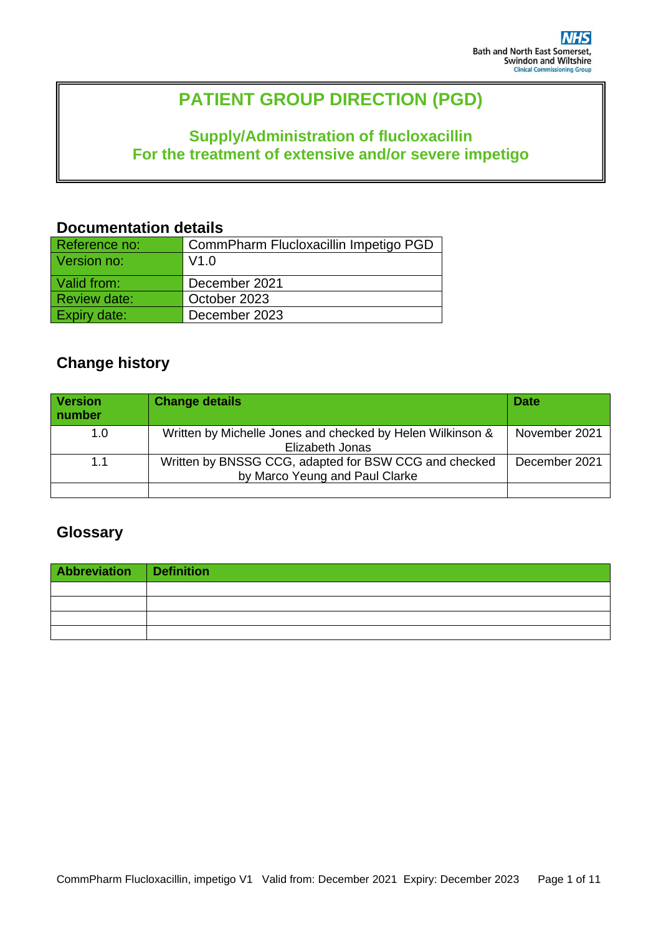# **PATIENT GROUP DIRECTION (PGD)**

# **Supply/Administration of flucloxacillin For the treatment of extensive and/or severe impetigo**

### **Documentation details**

| Reference no:       | CommPharm Flucloxacillin Impetigo PGD |
|---------------------|---------------------------------------|
| Version no:         | V1.0                                  |
| Valid from:         | December 2021                         |
| <b>Review date:</b> | October 2023                          |
| <b>Expiry date:</b> | December 2023                         |

# **Change history**

| <b>Version</b><br>number | <b>Change details</b>                                                                   | <b>Date</b>   |
|--------------------------|-----------------------------------------------------------------------------------------|---------------|
| 1.0                      | Written by Michelle Jones and checked by Helen Wilkinson &<br>Elizabeth Jonas           | November 2021 |
| 1.1                      | Written by BNSSG CCG, adapted for BSW CCG and checked<br>by Marco Yeung and Paul Clarke | December 2021 |
|                          |                                                                                         |               |

## **Glossary**

| Abbreviation Definition |  |
|-------------------------|--|
|                         |  |
|                         |  |
|                         |  |
|                         |  |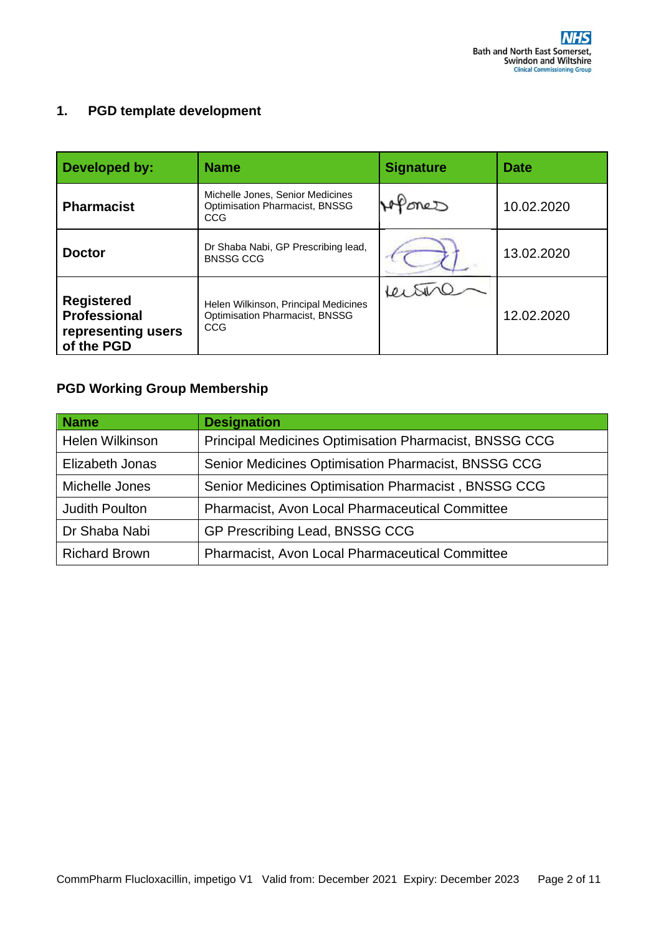### **1. PGD template development**

| Developed by:                                                                | <b>Name</b>                                                                   | <b>Signature</b> | <b>Date</b> |
|------------------------------------------------------------------------------|-------------------------------------------------------------------------------|------------------|-------------|
| <b>Pharmacist</b>                                                            | Michelle Jones, Senior Medicines<br>Optimisation Pharmacist, BNSSG<br>CCG     | meD              | 10.02.2020  |
| <b>Doctor</b>                                                                | Dr Shaba Nabi, GP Prescribing lead,<br><b>BNSSG CCG</b>                       |                  | 13.02.2020  |
| <b>Registered</b><br><b>Professional</b><br>representing users<br>of the PGD | Helen Wilkinson, Principal Medicines<br>Optimisation Pharmacist, BNSSG<br>CCG |                  | 12.02.2020  |

## **PGD Working Group Membership**

| <b>Name</b>           | <b>Designation</b>                                     |
|-----------------------|--------------------------------------------------------|
| Helen Wilkinson       | Principal Medicines Optimisation Pharmacist, BNSSG CCG |
| Elizabeth Jonas       | Senior Medicines Optimisation Pharmacist, BNSSG CCG    |
| Michelle Jones        | Senior Medicines Optimisation Pharmacist, BNSSG CCG    |
| <b>Judith Poulton</b> | <b>Pharmacist, Avon Local Pharmaceutical Committee</b> |
| Dr Shaba Nabi         | GP Prescribing Lead, BNSSG CCG                         |
| <b>Richard Brown</b>  | Pharmacist, Avon Local Pharmaceutical Committee        |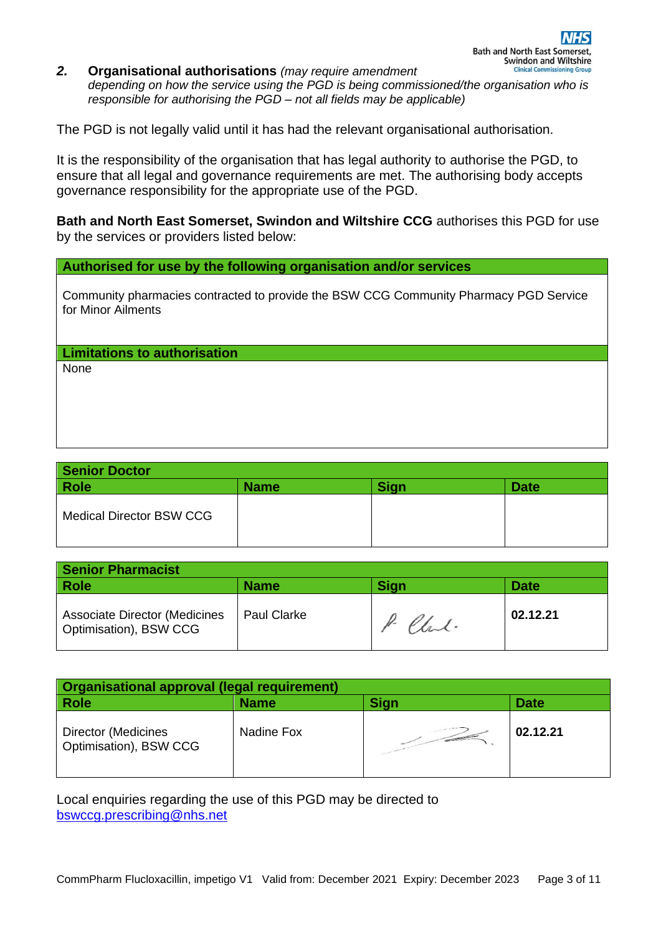#### *2.* **Organisational authorisations** *(may require amendment depending on how the service using the PGD is being commissioned/the organisation who is responsible for authorising the PGD – not all fields may be applicable)*

The PGD is not legally valid until it has had the relevant organisational authorisation.

It is the responsibility of the organisation that has legal authority to authorise the PGD, to ensure that all legal and governance requirements are met. The authorising body accepts governance responsibility for the appropriate use of the PGD.

**Bath and North East Somerset, Swindon and Wiltshire CCG** authorises this PGD for use by the services or providers listed below:

#### **Authorised for use by the following organisation and/or services**

Community pharmacies contracted to provide the BSW CCG Community Pharmacy PGD Service for Minor Ailments

**Limitations to authorisation**

None

| <b>Senior Doctor</b>            |             |             |             |
|---------------------------------|-------------|-------------|-------------|
| <b>Role</b>                     | <b>Name</b> | <b>Sign</b> | <b>Date</b> |
| <b>Medical Director BSW CCG</b> |             |             |             |

| <b>Senior Pharmacist</b>                                       |                    |             |             |
|----------------------------------------------------------------|--------------------|-------------|-------------|
| <b>Role</b>                                                    | <b>Name</b>        | <b>Sign</b> | <b>Date</b> |
| <b>Associate Director (Medicines</b><br>Optimisation), BSW CCG | <b>Paul Clarke</b> | P. Clark.   | 02.12.21    |

| <b>Organisational approval (legal requirement)</b>   |             |                                                                                                                                                                                                                                      |             |
|------------------------------------------------------|-------------|--------------------------------------------------------------------------------------------------------------------------------------------------------------------------------------------------------------------------------------|-------------|
| <b>Role</b>                                          | <b>Name</b> | <b>Sign</b>                                                                                                                                                                                                                          | <b>Date</b> |
| <b>Director (Medicines</b><br>Optimisation), BSW CCG | Nadine Fox  | <b>Contract of the Contract of the Contract of the Contract of the Contract of the Contract of the Contract of the Contract of the Contract of the Contract of the Contract of the Contract of the Contract of the Contract of t</b> | 02.12.21    |

Local enquiries regarding the use of this PGD may be directed to [bswccg.prescribing@nhs.net](mailto:bswccg.prescribing@nhs.net)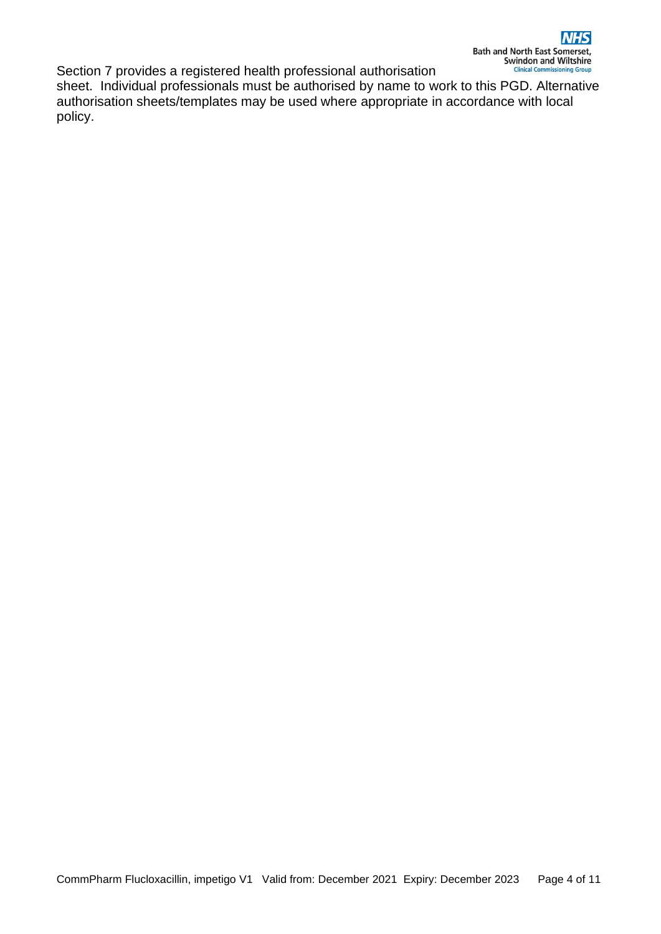Section 7 provides a registered health professional authorisation sheet. Individual professionals must be authorised by name to work to this PGD. Alternative authorisation sheets/templates may be used where appropriate in accordance with local policy.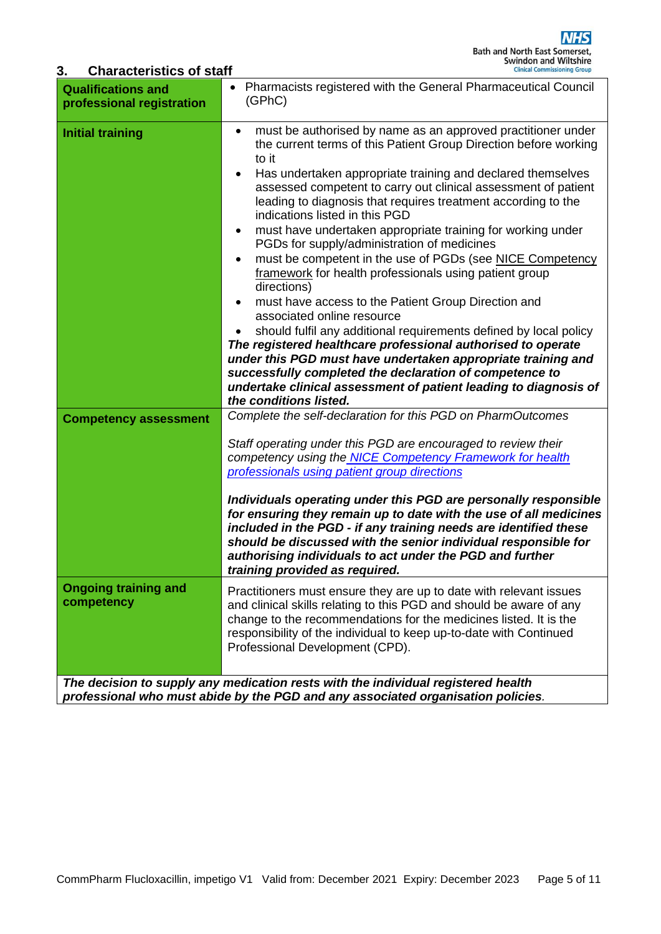### **3. Characteristics of staff**

| <b>Qualifications and</b><br>professional registration  | Pharmacists registered with the General Pharmaceutical Council<br>(GPhC)                                                                                                                                                                                                                                                                                                                                                                                                                                                                                                                                                                                                                                                                                                                                                                                                                                                                                                                                                                                                                                                                                                                   |
|---------------------------------------------------------|--------------------------------------------------------------------------------------------------------------------------------------------------------------------------------------------------------------------------------------------------------------------------------------------------------------------------------------------------------------------------------------------------------------------------------------------------------------------------------------------------------------------------------------------------------------------------------------------------------------------------------------------------------------------------------------------------------------------------------------------------------------------------------------------------------------------------------------------------------------------------------------------------------------------------------------------------------------------------------------------------------------------------------------------------------------------------------------------------------------------------------------------------------------------------------------------|
| <b>Initial training</b><br><b>Competency assessment</b> | must be authorised by name as an approved practitioner under<br>$\bullet$<br>the current terms of this Patient Group Direction before working<br>to it<br>Has undertaken appropriate training and declared themselves<br>assessed competent to carry out clinical assessment of patient<br>leading to diagnosis that requires treatment according to the<br>indications listed in this PGD<br>must have undertaken appropriate training for working under<br>$\bullet$<br>PGDs for supply/administration of medicines<br>must be competent in the use of PGDs (see NICE Competency<br>$\bullet$<br>framework for health professionals using patient group<br>directions)<br>must have access to the Patient Group Direction and<br>associated online resource<br>should fulfil any additional requirements defined by local policy<br>The registered healthcare professional authorised to operate<br>under this PGD must have undertaken appropriate training and<br>successfully completed the declaration of competence to<br>undertake clinical assessment of patient leading to diagnosis of<br>the conditions listed.<br>Complete the self-declaration for this PGD on PharmOutcomes |
| <b>Ongoing training and</b><br>competency               | Staff operating under this PGD are encouraged to review their<br>competency using the NICE Competency Framework for health<br>professionals using patient group directions<br>Individuals operating under this PGD are personally responsible<br>for ensuring they remain up to date with the use of all medicines<br>included in the PGD - if any training needs are identified these<br>should be discussed with the senior individual responsible for<br>authorising individuals to act under the PGD and further<br>training provided as required.<br>Practitioners must ensure they are up to date with relevant issues<br>and clinical skills relating to this PGD and should be aware of any<br>change to the recommendations for the medicines listed. It is the<br>responsibility of the individual to keep up-to-date with Continued<br>Professional Development (CPD).                                                                                                                                                                                                                                                                                                          |
|                                                         | The decision to supply any medication rests with the individual registered health<br>professional who must abide by the PGD and any associated organisation policies.                                                                                                                                                                                                                                                                                                                                                                                                                                                                                                                                                                                                                                                                                                                                                                                                                                                                                                                                                                                                                      |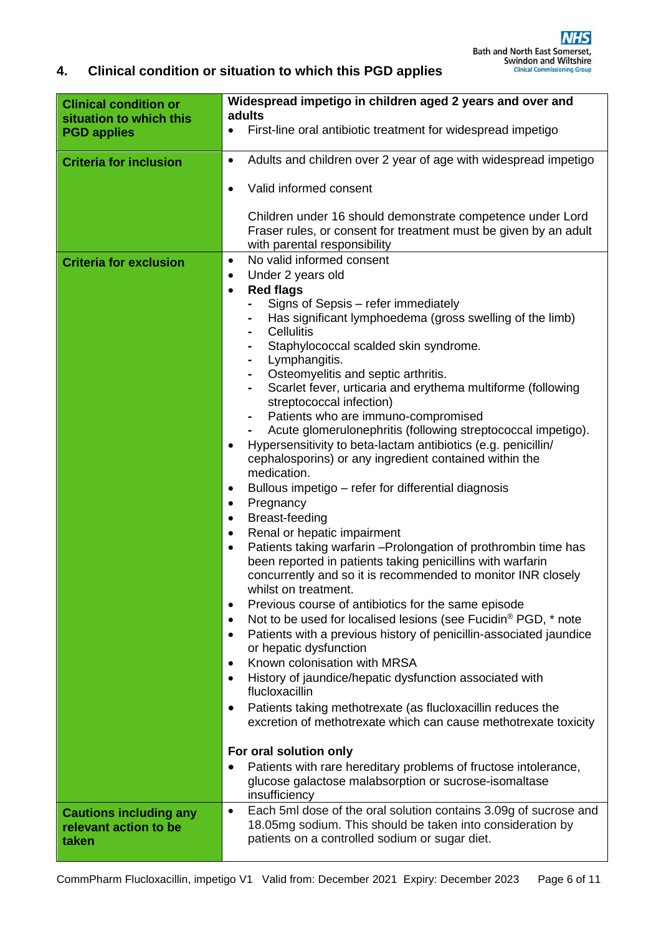## **4. Clinical condition or situation to which this PGD applies**

| <b>Clinical condition or</b><br>situation to which this | Widespread impetigo in children aged 2 years and over and<br>adults                                                                                                                                        |
|---------------------------------------------------------|------------------------------------------------------------------------------------------------------------------------------------------------------------------------------------------------------------|
| <b>PGD applies</b>                                      | First-line oral antibiotic treatment for widespread impetigo<br>$\bullet$                                                                                                                                  |
| <b>Criteria for inclusion</b>                           | Adults and children over 2 year of age with widespread impetigo<br>$\bullet$                                                                                                                               |
|                                                         | Valid informed consent<br>$\bullet$                                                                                                                                                                        |
|                                                         | Children under 16 should demonstrate competence under Lord<br>Fraser rules, or consent for treatment must be given by an adult<br>with parental responsibility                                             |
| <b>Criteria for exclusion</b>                           | No valid informed consent<br>$\bullet$                                                                                                                                                                     |
|                                                         | Under 2 years old<br>$\bullet$                                                                                                                                                                             |
|                                                         | <b>Red flags</b><br>$\bullet$                                                                                                                                                                              |
|                                                         | Signs of Sepsis - refer immediately<br>Has significant lymphoedema (gross swelling of the limb)                                                                                                            |
|                                                         | <b>Cellulitis</b><br>$\blacksquare$                                                                                                                                                                        |
|                                                         | Staphylococcal scalded skin syndrome.<br>٠                                                                                                                                                                 |
|                                                         | Lymphangitis.<br>$\blacksquare$                                                                                                                                                                            |
|                                                         | Osteomyelitis and septic arthritis.<br>$\blacksquare$<br>Scarlet fever, urticaria and erythema multiforme (following                                                                                       |
|                                                         | $\blacksquare$<br>streptococcal infection)                                                                                                                                                                 |
|                                                         | Patients who are immuno-compromised                                                                                                                                                                        |
|                                                         | Acute glomerulonephritis (following streptococcal impetigo).                                                                                                                                               |
|                                                         | Hypersensitivity to beta-lactam antibiotics (e.g. penicillin/<br>$\bullet$                                                                                                                                 |
|                                                         | cephalosporins) or any ingredient contained within the                                                                                                                                                     |
|                                                         | medication.<br>Bullous impetigo – refer for differential diagnosis<br>$\bullet$                                                                                                                            |
|                                                         | Pregnancy<br>$\bullet$                                                                                                                                                                                     |
|                                                         | Breast-feeding<br>$\bullet$                                                                                                                                                                                |
|                                                         | Renal or hepatic impairment<br>$\bullet$                                                                                                                                                                   |
|                                                         | Patients taking warfarin - Prolongation of prothrombin time has<br>$\bullet$<br>been reported in patients taking penicillins with warfarin<br>concurrently and so it is recommended to monitor INR closely |
|                                                         | whilst on treatment.                                                                                                                                                                                       |
|                                                         | Previous course of antibiotics for the same episode<br>$\bullet$                                                                                                                                           |
|                                                         | Not to be used for localised lesions (see Fucidin® PGD, * note<br>$\bullet$                                                                                                                                |
|                                                         | Patients with a previous history of penicillin-associated jaundice<br>$\bullet$<br>or hepatic dysfunction                                                                                                  |
|                                                         | Known colonisation with MRSA<br>$\bullet$                                                                                                                                                                  |
|                                                         | History of jaundice/hepatic dysfunction associated with<br>$\bullet$<br>flucloxacillin                                                                                                                     |
|                                                         | Patients taking methotrexate (as flucloxacillin reduces the<br>٠<br>excretion of methotrexate which can cause methotrexate toxicity                                                                        |
|                                                         | For oral solution only                                                                                                                                                                                     |
|                                                         | Patients with rare hereditary problems of fructose intolerance,                                                                                                                                            |
|                                                         | glucose galactose malabsorption or sucrose-isomaltase<br>insufficiency                                                                                                                                     |
| <b>Cautions including any</b>                           | Each 5ml dose of the oral solution contains 3.09g of sucrose and<br>$\bullet$                                                                                                                              |
| relevant action to be<br>taken                          | 18.05mg sodium. This should be taken into consideration by<br>patients on a controlled sodium or sugar diet.                                                                                               |
|                                                         |                                                                                                                                                                                                            |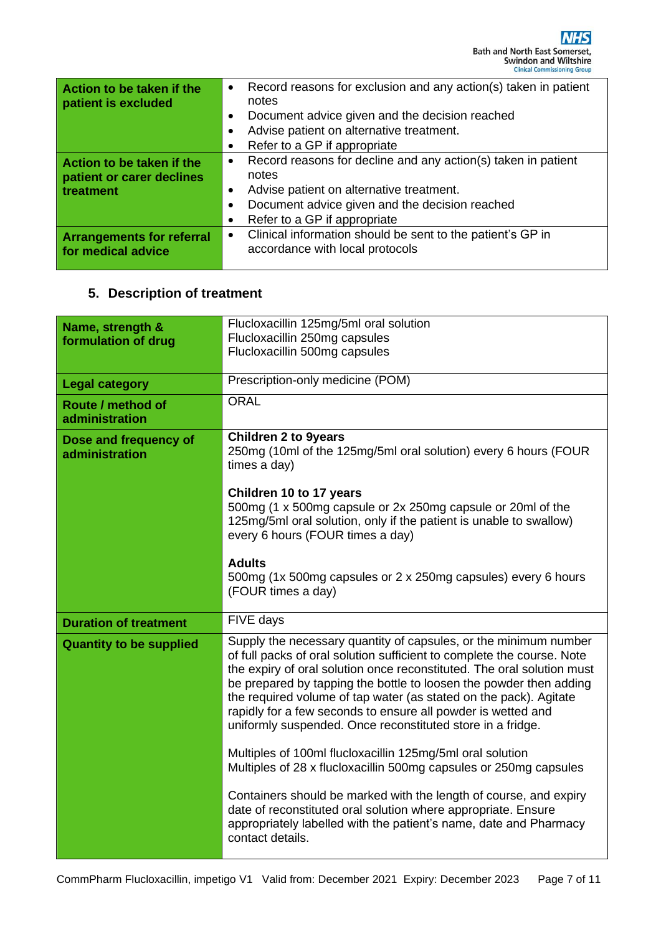| Action to be taken if the<br>patient is excluded       | Record reasons for exclusion and any action(s) taken in patient<br>$\bullet$<br>notes                      |  |
|--------------------------------------------------------|------------------------------------------------------------------------------------------------------------|--|
|                                                        | Document advice given and the decision reached<br>$\bullet$                                                |  |
|                                                        | Advise patient on alternative treatment.<br>$\bullet$                                                      |  |
|                                                        | Refer to a GP if appropriate<br>$\bullet$                                                                  |  |
| Action to be taken if the                              | Record reasons for decline and any action(s) taken in patient<br>$\bullet$                                 |  |
| patient or carer declines                              | notes                                                                                                      |  |
| treatment                                              | Advise patient on alternative treatment.<br>$\bullet$                                                      |  |
|                                                        | Document advice given and the decision reached<br>$\bullet$                                                |  |
|                                                        | Refer to a GP if appropriate<br>٠                                                                          |  |
| <b>Arrangements for referral</b><br>for medical advice | Clinical information should be sent to the patient's GP in<br>$\bullet$<br>accordance with local protocols |  |

# **5. Description of treatment**

| Name, strength &               | Flucloxacillin 125mg/5ml oral solution                                 |  |
|--------------------------------|------------------------------------------------------------------------|--|
| formulation of drug            | Flucloxacillin 250mg capsules                                          |  |
|                                | Flucloxacillin 500mg capsules                                          |  |
|                                |                                                                        |  |
| <b>Legal category</b>          | Prescription-only medicine (POM)                                       |  |
|                                |                                                                        |  |
| Route / method of              | <b>ORAL</b>                                                            |  |
| administration                 |                                                                        |  |
|                                | <b>Children 2 to 9years</b>                                            |  |
| Dose and frequency of          | 250mg (10ml of the 125mg/5ml oral solution) every 6 hours (FOUR        |  |
| administration                 | times a day)                                                           |  |
|                                |                                                                        |  |
|                                |                                                                        |  |
|                                | Children 10 to 17 years                                                |  |
|                                | 500mg (1 x 500mg capsule or 2x 250mg capsule or 20ml of the            |  |
|                                | 125mg/5ml oral solution, only if the patient is unable to swallow)     |  |
|                                | every 6 hours (FOUR times a day)                                       |  |
|                                |                                                                        |  |
|                                | <b>Adults</b>                                                          |  |
|                                | 500mg (1x 500mg capsules or 2 x 250mg capsules) every 6 hours          |  |
|                                | (FOUR times a day)                                                     |  |
|                                |                                                                        |  |
| <b>Duration of treatment</b>   | FIVE days                                                              |  |
|                                |                                                                        |  |
| <b>Quantity to be supplied</b> | Supply the necessary quantity of capsules, or the minimum number       |  |
|                                | of full packs of oral solution sufficient to complete the course. Note |  |
|                                | the expiry of oral solution once reconstituted. The oral solution must |  |
|                                | be prepared by tapping the bottle to loosen the powder then adding     |  |
|                                | the required volume of tap water (as stated on the pack). Agitate      |  |
|                                | rapidly for a few seconds to ensure all powder is wetted and           |  |
|                                | uniformly suspended. Once reconstituted store in a fridge.             |  |
|                                |                                                                        |  |
|                                | Multiples of 100ml flucloxacillin 125mg/5ml oral solution              |  |
|                                | Multiples of 28 x flucloxacillin 500mg capsules or 250mg capsules      |  |
|                                |                                                                        |  |
|                                | Containers should be marked with the length of course, and expiry      |  |
|                                | date of reconstituted oral solution where appropriate. Ensure          |  |
|                                | appropriately labelled with the patient's name, date and Pharmacy      |  |
|                                | contact details.                                                       |  |
|                                |                                                                        |  |
|                                |                                                                        |  |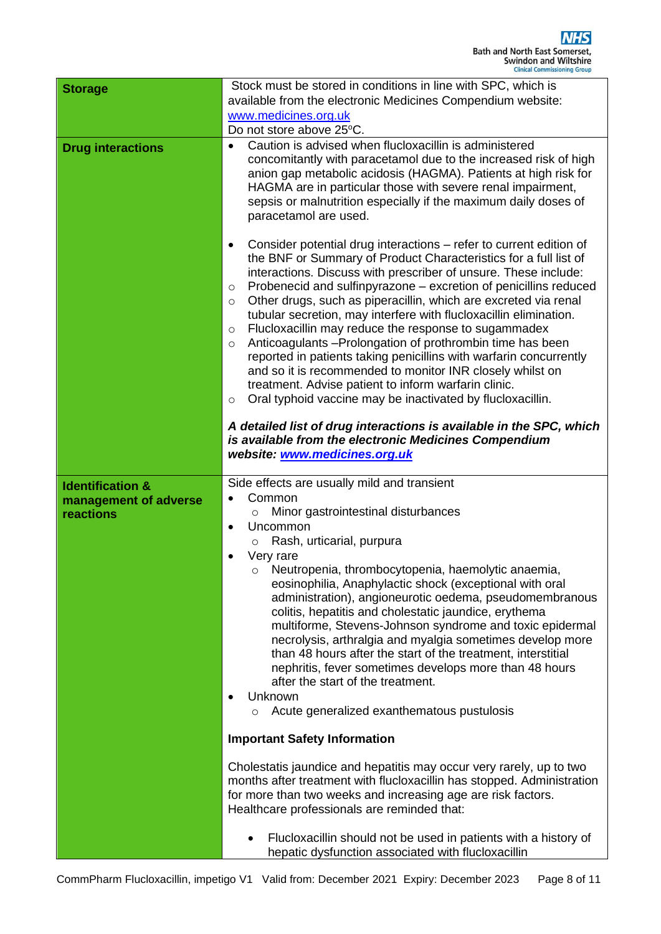| <b>Storage</b>                                                    | Stock must be stored in conditions in line with SPC, which is<br>available from the electronic Medicines Compendium website:<br>www.medicines.org.uk<br>Do not store above 25°C.                                                                                                                                                                                                                                                                                                                                                                                                                                                                                                                                                                                                                                                                             |  |  |  |
|-------------------------------------------------------------------|--------------------------------------------------------------------------------------------------------------------------------------------------------------------------------------------------------------------------------------------------------------------------------------------------------------------------------------------------------------------------------------------------------------------------------------------------------------------------------------------------------------------------------------------------------------------------------------------------------------------------------------------------------------------------------------------------------------------------------------------------------------------------------------------------------------------------------------------------------------|--|--|--|
| <b>Drug interactions</b>                                          | Caution is advised when flucloxacillin is administered<br>$\bullet$<br>concomitantly with paracetamol due to the increased risk of high<br>anion gap metabolic acidosis (HAGMA). Patients at high risk for<br>HAGMA are in particular those with severe renal impairment,<br>sepsis or malnutrition especially if the maximum daily doses of<br>paracetamol are used.                                                                                                                                                                                                                                                                                                                                                                                                                                                                                        |  |  |  |
|                                                                   | Consider potential drug interactions – refer to current edition of<br>$\bullet$<br>the BNF or Summary of Product Characteristics for a full list of<br>interactions. Discuss with prescriber of unsure. These include:<br>Probenecid and sulfinpyrazone – excretion of penicillins reduced<br>O<br>Other drugs, such as piperacillin, which are excreted via renal<br>$\circ$<br>tubular secretion, may interfere with flucloxacillin elimination.<br>Flucloxacillin may reduce the response to sugammadex<br>O<br>Anticoagulants - Prolongation of prothrombin time has been<br>$\circ$<br>reported in patients taking penicillins with warfarin concurrently<br>and so it is recommended to monitor INR closely whilst on<br>treatment. Advise patient to inform warfarin clinic.<br>Oral typhoid vaccine may be inactivated by flucloxacillin.<br>$\circ$ |  |  |  |
|                                                                   | A detailed list of drug interactions is available in the SPC, which<br>is available from the electronic Medicines Compendium<br>website: www.medicines.org.uk                                                                                                                                                                                                                                                                                                                                                                                                                                                                                                                                                                                                                                                                                                |  |  |  |
| <b>Identification &amp;</b><br>management of adverse<br>reactions | Side effects are usually mild and transient<br>Common<br>Minor gastrointestinal disturbances<br>$\circ$<br>Uncommon<br>$\bullet$<br>Rash, urticarial, purpura<br>$\circ$<br>Very rare<br>Neutropenia, thrombocytopenia, haemolytic anaemia,<br>O<br>eosinophilia, Anaphylactic shock (exceptional with oral<br>administration), angioneurotic oedema, pseudomembranous<br>colitis, hepatitis and cholestatic jaundice, erythema<br>multiforme, Stevens-Johnson syndrome and toxic epidermal<br>necrolysis, arthralgia and myalgia sometimes develop more<br>than 48 hours after the start of the treatment, interstitial<br>nephritis, fever sometimes develops more than 48 hours<br>after the start of the treatment.<br>Unknown<br>Acute generalized exanthematous pustulosis<br>O<br><b>Important Safety Information</b>                                 |  |  |  |
|                                                                   | Cholestatis jaundice and hepatitis may occur very rarely, up to two<br>months after treatment with flucloxacillin has stopped. Administration<br>for more than two weeks and increasing age are risk factors.<br>Healthcare professionals are reminded that:                                                                                                                                                                                                                                                                                                                                                                                                                                                                                                                                                                                                 |  |  |  |
|                                                                   | Flucloxacillin should not be used in patients with a history of<br>hepatic dysfunction associated with flucloxacillin                                                                                                                                                                                                                                                                                                                                                                                                                                                                                                                                                                                                                                                                                                                                        |  |  |  |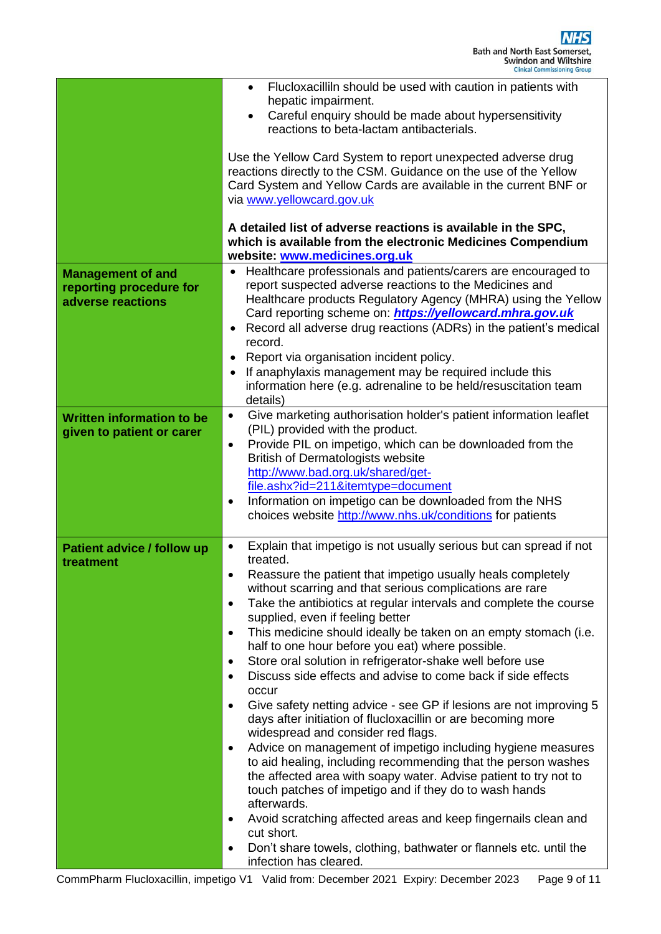|                                                               | Flucloxacilliln should be used with caution in patients with<br>$\bullet$<br>hepatic impairment.<br>Careful enquiry should be made about hypersensitivity<br>$\bullet$<br>reactions to beta-lactam antibacterials.<br>Use the Yellow Card System to report unexpected adverse drug<br>reactions directly to the CSM. Guidance on the use of the Yellow<br>Card System and Yellow Cards are available in the current BNF or<br>via www.yellowcard.gov.uk<br>A detailed list of adverse reactions is available in the SPC,<br>which is available from the electronic Medicines Compendium<br>website: www.medicines.org.uk |
|---------------------------------------------------------------|--------------------------------------------------------------------------------------------------------------------------------------------------------------------------------------------------------------------------------------------------------------------------------------------------------------------------------------------------------------------------------------------------------------------------------------------------------------------------------------------------------------------------------------------------------------------------------------------------------------------------|
| <b>Management of and</b><br>reporting procedure for           | Healthcare professionals and patients/carers are encouraged to<br>report suspected adverse reactions to the Medicines and                                                                                                                                                                                                                                                                                                                                                                                                                                                                                                |
| adverse reactions                                             | Healthcare products Regulatory Agency (MHRA) using the Yellow<br>Card reporting scheme on: https://yellowcard.mhra.gov.uk<br>Record all adverse drug reactions (ADRs) in the patient's medical                                                                                                                                                                                                                                                                                                                                                                                                                           |
|                                                               | record.                                                                                                                                                                                                                                                                                                                                                                                                                                                                                                                                                                                                                  |
|                                                               | Report via organisation incident policy.<br>If anaphylaxis management may be required include this                                                                                                                                                                                                                                                                                                                                                                                                                                                                                                                       |
|                                                               | information here (e.g. adrenaline to be held/resuscitation team<br>details)                                                                                                                                                                                                                                                                                                                                                                                                                                                                                                                                              |
| <b>Written information to be</b><br>given to patient or carer | Give marketing authorisation holder's patient information leaflet<br>$\bullet$<br>(PIL) provided with the product.                                                                                                                                                                                                                                                                                                                                                                                                                                                                                                       |
|                                                               | Provide PIL on impetigo, which can be downloaded from the<br>$\bullet$                                                                                                                                                                                                                                                                                                                                                                                                                                                                                                                                                   |
|                                                               | <b>British of Dermatologists website</b><br>http://www.bad.org.uk/shared/get-                                                                                                                                                                                                                                                                                                                                                                                                                                                                                                                                            |
|                                                               | file.ashx?id=211&itemtype=document                                                                                                                                                                                                                                                                                                                                                                                                                                                                                                                                                                                       |
|                                                               | Information on impetigo can be downloaded from the NHS<br>$\bullet$<br>choices website http://www.nhs.uk/conditions for patients                                                                                                                                                                                                                                                                                                                                                                                                                                                                                         |
| Patient advice / follow up<br>treatment                       | Explain that impetigo is not usually serious but can spread if not<br>$\bullet$<br>treated.                                                                                                                                                                                                                                                                                                                                                                                                                                                                                                                              |
|                                                               | Reassure the patient that impetigo usually heals completely<br>without scarring and that serious complications are rare                                                                                                                                                                                                                                                                                                                                                                                                                                                                                                  |
|                                                               | Take the antibiotics at regular intervals and complete the course<br>$\bullet$                                                                                                                                                                                                                                                                                                                                                                                                                                                                                                                                           |
|                                                               | supplied, even if feeling better                                                                                                                                                                                                                                                                                                                                                                                                                                                                                                                                                                                         |
|                                                               | This medicine should ideally be taken on an empty stomach (i.e.<br>$\bullet$<br>half to one hour before you eat) where possible.                                                                                                                                                                                                                                                                                                                                                                                                                                                                                         |
|                                                               | Store oral solution in refrigerator-shake well before use<br>$\bullet$                                                                                                                                                                                                                                                                                                                                                                                                                                                                                                                                                   |
|                                                               | Discuss side effects and advise to come back if side effects<br>$\bullet$<br>occur                                                                                                                                                                                                                                                                                                                                                                                                                                                                                                                                       |
|                                                               | Give safety netting advice - see GP if lesions are not improving 5<br>$\bullet$<br>days after initiation of flucloxacillin or are becoming more                                                                                                                                                                                                                                                                                                                                                                                                                                                                          |
|                                                               | widespread and consider red flags.<br>Advice on management of impetigo including hygiene measures<br>$\bullet$                                                                                                                                                                                                                                                                                                                                                                                                                                                                                                           |
|                                                               | to aid healing, including recommending that the person washes<br>the affected area with soapy water. Advise patient to try not to<br>touch patches of impetigo and if they do to wash hands                                                                                                                                                                                                                                                                                                                                                                                                                              |
|                                                               | afterwards.<br>Avoid scratching affected areas and keep fingernails clean and<br>$\bullet$                                                                                                                                                                                                                                                                                                                                                                                                                                                                                                                               |
|                                                               | cut short.                                                                                                                                                                                                                                                                                                                                                                                                                                                                                                                                                                                                               |
|                                                               | Don't share towels, clothing, bathwater or flannels etc. until the<br>$\bullet$<br>infection has cleared.                                                                                                                                                                                                                                                                                                                                                                                                                                                                                                                |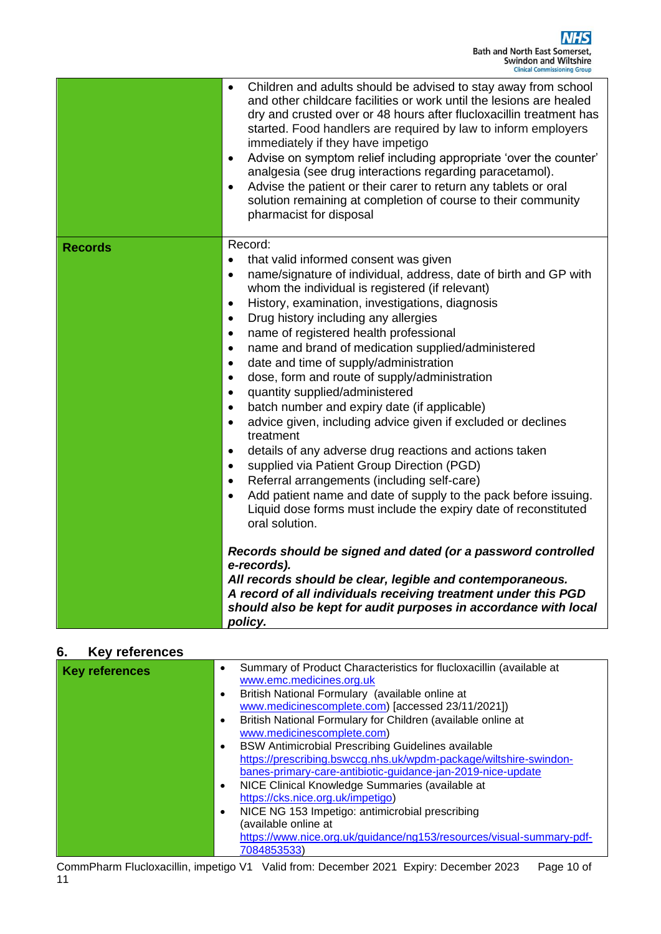|                | Children and adults should be advised to stay away from school<br>$\bullet$<br>and other childcare facilities or work until the lesions are healed<br>dry and crusted over or 48 hours after flucloxacillin treatment has<br>started. Food handlers are required by law to inform employers<br>immediately if they have impetigo<br>Advise on symptom relief including appropriate 'over the counter'<br>$\bullet$<br>analgesia (see drug interactions regarding paracetamol).<br>Advise the patient or their carer to return any tablets or oral<br>solution remaining at completion of course to their community<br>pharmacist for disposal |
|----------------|-----------------------------------------------------------------------------------------------------------------------------------------------------------------------------------------------------------------------------------------------------------------------------------------------------------------------------------------------------------------------------------------------------------------------------------------------------------------------------------------------------------------------------------------------------------------------------------------------------------------------------------------------|
| <b>Records</b> | Record:                                                                                                                                                                                                                                                                                                                                                                                                                                                                                                                                                                                                                                       |
|                | that valid informed consent was given<br>$\bullet$                                                                                                                                                                                                                                                                                                                                                                                                                                                                                                                                                                                            |
|                | name/signature of individual, address, date of birth and GP with<br>$\bullet$<br>whom the individual is registered (if relevant)                                                                                                                                                                                                                                                                                                                                                                                                                                                                                                              |
|                | History, examination, investigations, diagnosis<br>$\bullet$                                                                                                                                                                                                                                                                                                                                                                                                                                                                                                                                                                                  |
|                | Drug history including any allergies<br>$\bullet$                                                                                                                                                                                                                                                                                                                                                                                                                                                                                                                                                                                             |
|                | name of registered health professional<br>$\bullet$                                                                                                                                                                                                                                                                                                                                                                                                                                                                                                                                                                                           |
|                | name and brand of medication supplied/administered<br>$\bullet$                                                                                                                                                                                                                                                                                                                                                                                                                                                                                                                                                                               |
|                | date and time of supply/administration<br>$\bullet$                                                                                                                                                                                                                                                                                                                                                                                                                                                                                                                                                                                           |
|                | dose, form and route of supply/administration<br>$\bullet$                                                                                                                                                                                                                                                                                                                                                                                                                                                                                                                                                                                    |
|                | quantity supplied/administered<br>$\bullet$                                                                                                                                                                                                                                                                                                                                                                                                                                                                                                                                                                                                   |
|                | batch number and expiry date (if applicable)<br>$\bullet$                                                                                                                                                                                                                                                                                                                                                                                                                                                                                                                                                                                     |
|                | advice given, including advice given if excluded or declines<br>$\bullet$<br>treatment                                                                                                                                                                                                                                                                                                                                                                                                                                                                                                                                                        |
|                | details of any adverse drug reactions and actions taken<br>$\bullet$                                                                                                                                                                                                                                                                                                                                                                                                                                                                                                                                                                          |
|                | supplied via Patient Group Direction (PGD)<br>$\bullet$                                                                                                                                                                                                                                                                                                                                                                                                                                                                                                                                                                                       |
|                | Referral arrangements (including self-care)<br>$\bullet$                                                                                                                                                                                                                                                                                                                                                                                                                                                                                                                                                                                      |
|                | Add patient name and date of supply to the pack before issuing.<br>$\bullet$<br>Liquid dose forms must include the expiry date of reconstituted<br>oral solution.                                                                                                                                                                                                                                                                                                                                                                                                                                                                             |
|                | Records should be signed and dated (or a password controlled<br>e-records).                                                                                                                                                                                                                                                                                                                                                                                                                                                                                                                                                                   |
|                | All records should be clear, legible and contemporaneous.<br>A record of all individuals receiving treatment under this PGD<br>should also be kept for audit purposes in accordance with local<br>policy.                                                                                                                                                                                                                                                                                                                                                                                                                                     |

### **6. Key references**

| <b>Key references</b> | Summary of Product Characteristics for flucloxacillin (available at<br>$\bullet$ |
|-----------------------|----------------------------------------------------------------------------------|
|                       | www.emc.medicines.org.uk                                                         |
|                       | British National Formulary (available online at<br>$\bullet$                     |
|                       | www.medicinescomplete.com) [accessed 23/11/2021])                                |
|                       | British National Formulary for Children (available online at<br>$\bullet$        |
|                       | www.medicinescomplete.com)                                                       |
|                       | <b>BSW Antimicrobial Prescribing Guidelines available</b><br>$\bullet$           |
|                       | https://prescribing.bswccg.nhs.uk/wpdm-package/wiltshire-swindon-                |
|                       | banes-primary-care-antibiotic-guidance-jan-2019-nice-update                      |
|                       | NICE Clinical Knowledge Summaries (available at<br>$\bullet$                     |
|                       | https://cks.nice.org.uk/impetigo)                                                |
|                       | NICE NG 153 Impetigo: antimicrobial prescribing<br>٠                             |
|                       | (available online at                                                             |
|                       | https://www.nice.org.uk/guidance/ng153/resources/visual-summary-pdf-             |
|                       | 7084853533)                                                                      |